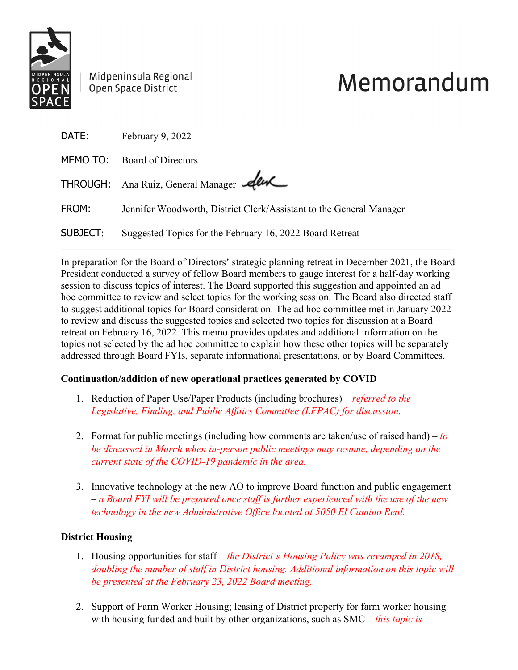

Midpeninsula Regional Open Space District

# Memorandum

| DATE:    | February 9, 2022                                                    |
|----------|---------------------------------------------------------------------|
|          | MEMO TO: Board of Directors                                         |
|          | THROUGH: Ana Ruiz, General Manager Alw                              |
| FROM:    | Jennifer Woodworth, District Clerk/Assistant to the General Manager |
| SUBJECT: | Suggested Topics for the February 16, 2022 Board Retreat            |

In preparation for the Board of Directors' strategic planning retreat in December 2021, the Board President conducted a survey of fellow Board members to gauge interest for a half-day working session to discuss topics of interest. The Board supported this suggestion and appointed an ad hoc committee to review and select topics for the working session. The Board also directed staff to suggest additional topics for Board consideration. The ad hoc committee met in January 2022 to review and discuss the suggested topics and selected two topics for discussion at a Board retreat on February 16, 2022. This memo provides updates and additional information on the topics not selected by the ad hoc committee to explain how these other topics will be separately addressed through Board FYIs, separate informational presentations, or by Board Committees.

### **Continuation/addition of new operational practices generated by COVID**

- 1. Reduction of Paper Use/Paper Products (including brochures) *referred to the Legislative, Finding, and Public Affairs Committee (LFPAC) for discussion.*
- 2. Format for public meetings (including how comments are taken/use of raised hand) *to be discussed in March when in-person public meetings may resume, depending on the current state of the COVID-19 pandemic in the area.*
- 3. Innovative technology at the new AO to improve Board function and public engagement – *a Board FYI will be prepared once staff is further experienced with the use of the new technology in the new Administrative Office located at 5050 El Camino Real.*

## **District Housing**

- 1. Housing opportunities for staff *the District's Housing Policy was revamped in 2018, doubling the number of staff in District housing. Additional information on this topic will be presented at the February 23, 2022 Board meeting.*
- 2. Support of Farm Worker Housing; leasing of District property for farm worker housing with housing funded and built by other organizations, such as SMC – *this topic is*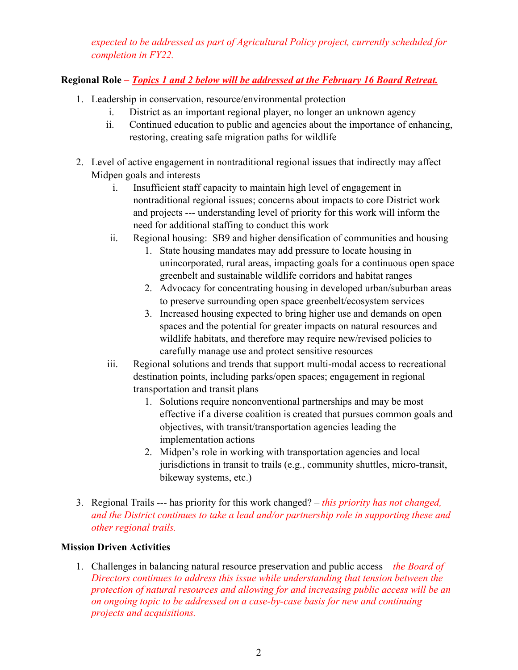*expected to be addressed as part of Agricultural Policy project, currently scheduled for completion in FY22.*

# **Regional Role** *– Topics 1 and 2 below will be addressed at the February 16 Board Retreat.*

- 1. Leadership in conservation, resource/environmental protection
	- i. District as an important regional player, no longer an unknown agency
	- ii. Continued education to public and agencies about the importance of enhancing, restoring, creating safe migration paths for wildlife
- 2. Level of active engagement in nontraditional regional issues that indirectly may affect Midpen goals and interests
	- i. Insufficient staff capacity to maintain high level of engagement in nontraditional regional issues; concerns about impacts to core District work and projects --- understanding level of priority for this work will inform the need for additional staffing to conduct this work
	- ii. Regional housing: SB9 and higher densification of communities and housing
		- 1. State housing mandates may add pressure to locate housing in unincorporated, rural areas, impacting goals for a continuous open space greenbelt and sustainable wildlife corridors and habitat ranges
		- 2. Advocacy for concentrating housing in developed urban/suburban areas to preserve surrounding open space greenbelt/ecosystem services
		- 3. Increased housing expected to bring higher use and demands on open spaces and the potential for greater impacts on natural resources and wildlife habitats, and therefore may require new/revised policies to carefully manage use and protect sensitive resources
	- iii. Regional solutions and trends that support multi-modal access to recreational destination points, including parks/open spaces; engagement in regional transportation and transit plans
		- 1. Solutions require nonconventional partnerships and may be most effective if a diverse coalition is created that pursues common goals and objectives, with transit/transportation agencies leading the implementation actions
		- 2. Midpen's role in working with transportation agencies and local jurisdictions in transit to trails (e.g., community shuttles, micro-transit, bikeway systems, etc.)
- 3. Regional Trails --- has priority for this work changed? *this priority has not changed, and the District continues to take a lead and/or partnership role in supporting these and other regional trails.*

### **Mission Driven Activities**

1. Challenges in balancing natural resource preservation and public access – *the Board of Directors continues to address this issue while understanding that tension between the protection of natural resources and allowing for and increasing public access will be an on ongoing topic to be addressed on a case-by-case basis for new and continuing projects and acquisitions.*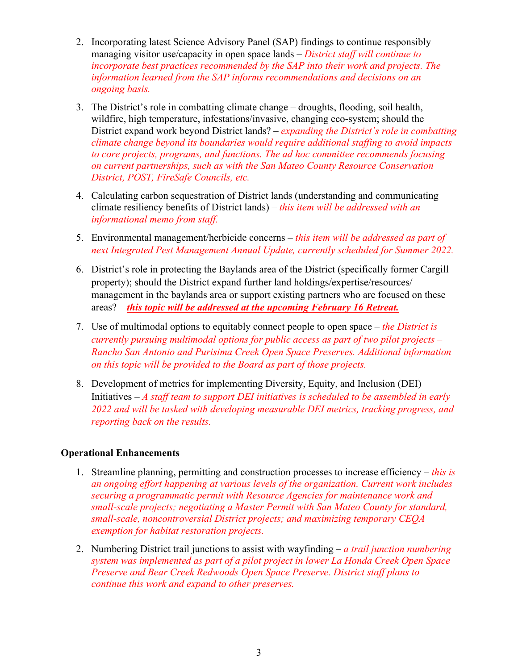- 2. Incorporating latest Science Advisory Panel (SAP) findings to continue responsibly managing visitor use/capacity in open space lands – *District staff will continue to incorporate best practices recommended by the SAP into their work and projects. The information learned from the SAP informs recommendations and decisions on an ongoing basis.*
- 3. The District's role in combatting climate change droughts, flooding, soil health, wildfire, high temperature, infestations/invasive, changing eco-system; should the District expand work beyond District lands? – *expanding the District's role in combatting climate change beyond its boundaries would require additional staffing to avoid impacts to core projects, programs, and functions. The ad hoc committee recommends focusing on current partnerships, such as with the San Mateo County Resource Conservation District, POST, FireSafe Councils, etc.*
- 4. Calculating carbon sequestration of District lands (understanding and communicating climate resiliency benefits of District lands) – *this item will be addressed with an informational memo from staff.*
- 5. Environmental management/herbicide concerns *this item will be addressed as part of next Integrated Pest Management Annual Update, currently scheduled for Summer 2022.*
- 6. District's role in protecting the Baylands area of the District (specifically former Cargill property); should the District expand further land holdings/expertise/resources/ management in the baylands area or support existing partners who are focused on these areas? – *this topic will be addressed at the upcoming February 16 Retreat.*
- 7. Use of multimodal options to equitably connect people to open space *the District is currently pursuing multimodal options for public access as part of two pilot projects – Rancho San Antonio and Purisima Creek Open Space Preserves. Additional information on this topic will be provided to the Board as part of those projects.*
- 8. Development of metrics for implementing Diversity, Equity, and Inclusion (DEI) Initiatives – *A staff team to support DEI initiatives is scheduled to be assembled in early 2022 and will be tasked with developing measurable DEI metrics, tracking progress, and reporting back on the results.*

#### **Operational Enhancements**

- 1. Streamline planning, permitting and construction processes to increase efficiency *this is an ongoing effort happening at various levels of the organization. Current work includes securing a programmatic permit with Resource Agencies for maintenance work and small-scale projects; negotiating a Master Permit with San Mateo County for standard, small-scale, noncontroversial District projects; and maximizing temporary CEQA exemption for habitat restoration projects.*
- 2. Numbering District trail junctions to assist with wayfinding *a trail junction numbering system was implemented as part of a pilot project in lower La Honda Creek Open Space Preserve and Bear Creek Redwoods Open Space Preserve. District staff plans to continue this work and expand to other preserves.*